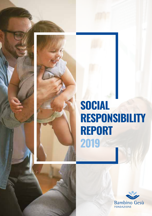

### SOCIAL RESPONSIBILITY REPORT 2019

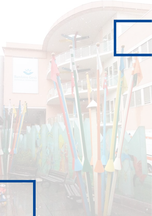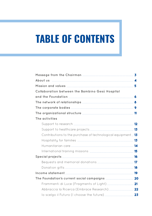### TABLE OF CONTENTS

| Collaboration between the Bambino Gesù Hospital                    |  |
|--------------------------------------------------------------------|--|
|                                                                    |  |
|                                                                    |  |
|                                                                    |  |
|                                                                    |  |
| The activities                                                     |  |
|                                                                    |  |
|                                                                    |  |
| Contributions to the purchase of technological equipment <b>13</b> |  |
|                                                                    |  |
|                                                                    |  |
|                                                                    |  |
|                                                                    |  |
|                                                                    |  |
|                                                                    |  |
|                                                                    |  |
|                                                                    |  |
|                                                                    |  |
|                                                                    |  |
|                                                                    |  |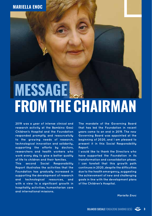#### MARIELLA ENOC

### **MESSAGE** FROM THE CHAIRMAN

**2019 was a year of intense clinical and research activity at the Bambino Gesù Children's Hospital and the Foundation responded promptly and resourcefully to the growing needs of research, technological innovation and solidarity, supporting the efforts by doctors, researchers and health workers who work every day to give a better quality of life to children and their families.** 

**This second Social Responsibility Report illustrates the activities that the Foundation has gradually increased in supporting the development of research and technological resources, and with a view to a significant growth in hospitality activities, humanitarian care and international missions.**

**The mandate of the Governing Board that has led the Foundation in recent years came to an end in 2019. The new Governing Board was appointed at the beginning of 2020, and I am pleased to present it in this Social Responsibility Report.** 

**I would like to thank the Directors who have supported the Foundation in its transformation and consolidation phase. I can foretell that this growth path continues in 2020, despite the difficulties due to the health emergency, suggesting the achievement of new and challenging goals in line with the development plans of the Children's Hospital.**

*Mariella Enoc*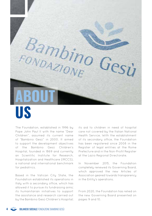

The Foundation, established in 1996 by Pope John Paul II with the name "Dear Children", assumed its current name of "Bambino Gesù" in 2000. It aimed to support the development objectives of the Bambino Gesù Children's Hospital, founded in 1869 and currently an Scientific Institute for Research, Hospitalization and Healthcare (IRCCS), a national and international benchmark for pediatrics.

Based in the Vatican City State, the Foundation established its operations in Italy with a secondary office, which has allowed it to pursue its fundraising aims; its humanitarian initiatives to support the assistance and research carried out by the Bambino Gesù Children's Hospital; its aid to children in need of hospital care not covered by the Italian National Health Service. With the establishment of its secondary office, the Foundation has been registered since 2008 in the Register of legal entities at the Rome Prefecture and in the Non-Profit Register at the Lazio Regional Directorate.

In November 2015, the Foundation completely renewed its Governing Board, which approved the new Articles of Association geared towards transparency in the Entity's operations.

From 2020, the Foundation has relied on the new Governing Board presented on pages 9 and 10.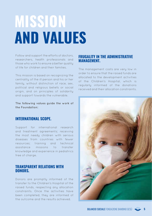# MISSION AND VALUES

Follow and support the efforts of doctors, researchers, health professionals and those who work to ensure a better quality of life for children and their families.

This mission is based on recognizing the centrality of the ill person and his or her family, without distinction of race, sex, political and religious beliefs or social origin, and on principles of solidarity and support towards the vulnerable.

**The following values guide the work of the Foundation:**

#### INTERNATIONAL SCOPE.

Support for international research and treatment agreements; receiving the most needy children with serious diseases from countries with fewer resources; training and technical assistance missions to transfer knowledge and experience in pediatrics free of charge.

#### TRANSPARENT RELATIONS WITH DONORS.

Donors are promptly informed of the transfer to the Children's Hospital of the raised funds, respecting any allocation constraints. Once the activities have been completed, they are informed of the outcome and the results achieved.

#### FRUGALITY IN THE ADMINISTRATIVE **MANAGEMENT**

The management costs are very low in order to ensure that the raised funds are allocated to the development activities of the Children's Hospital, which is regularly informed of the donations received and their allocation constraints.

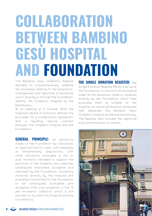### COLLABORATION BETWEEN BAMBINO GESÙ HOSPITAL AND FOUNDATION

The Bambino Gesù Children's Hospital decided to comprehensively redefine the processes relating to the acquisition, management and reporting of donations which, directly or through the Foundation, identify the Children's Hospital as the beneficiary.

At its meeting of 3 October 2019, the Hospital's Board of Directors defined the principles for a collaboration agreement and a resulting service contract between the Children's Hospital and the Foundation.

GENERAL PRINCIPLE: all donations made to the Foundation by individuals or legal entities (in cash, with bequests or testamentary dispositions, with other donations arranged in life or post mortem) intended to support the activities of the Hospital, are collected, catalogued, evaluated, accepted and reported by the Foundation. Donations received directly by the Hospital are promptly transmitted to the Foundation to be catalogued, evaluated and accepted. (The only exception is the "5 per thousand" collection which is still carried out by both the Hospital and the Foundation).

THE SINGLE DONATION REGISTER: the Single Donation Register (RUD) is set up at the Foundation, to record in chronological order all the donations made or received directly by the Foundation, which then evaluates them as suitable for the Hospital, as well as all donation proposals that designate the Bambino Gesù Children's Hospital as the end beneficiary. The Register also includes the reporting and communication to donors.

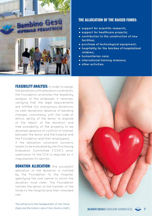

#### FEASIBILITY ANALYSIS: in order to assign the donations with allocation constraints, the Foundation promotes the feasibility analysis of the proposals it receives, verifying that the legal requirements are fulfilled (no anonymous donations; no cash donations; absence of pending charges; consistency with the code of ethics; ability of the donor to dispose of the object of the donation and free availability of the property to be donated; absence of conflicts of interest between the donor and the hospital and

the Foundation and their employees). If the allocation constraint concerns assets to be evaluated by the Purchasing

Evaluation Committee ("CVA"), prior submission to the CVA is required so it may express its opinion.

**DONATION ALLOCATION:** Ithe successful allocation of the donation is notified by the Foundation to the Hospital, specifying the cost centre to which the donation must refer. The Foundation notifies the donor of the transfer of the funds to the Hospital and their intended use.

*The entrance to the headquarters of San Paolo (top) and the historic site of San Onofrio (left).*

#### THE ALLOCATION OF THE RAISED FUNDS:

- **• support for scientific research;**
- **• support for healthcare projects;**
- **• contribution to the construction of new facilities;**
- **• purchase of technological equipment;**
- **• hospitality for the families of hospitalized children;**
- **• humanitarian care;**
- **• international training missions;**
- **• other activities.**

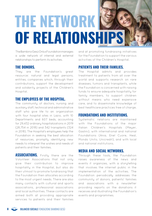# THE NETWORK OF RELATIONSHIPS

The Bambino Gesù Onlus Foundation manages a wide network of internal and external relationships to perform its activities.

#### THE DONORS.

They are the Foundation's great resource: natural and legal persons, entities, companies which, through their contributions, support the development and solidarity projects of the Children's Hospital.

#### THE EMPLOYEES OF THE HOSPITAL.

The community of doctors, nursing and auxiliary staff, technical and administrative staff who give life to an organization with four hospital sites in Lazio, with 10 Departments and 607 beds, accounting for 29,432 ordinary hospitalizations in 2019 (28,754 in 2018) and 342 transplants (324 in 2018). The Hospital's employees help the Foundation in seeking the best allocation of resources, promptly identifying new needs to interpret the wishes and needs of patients and their families.

**ASSOCIATIONS.** Firstly there are the Volunteer Associations that not only give their contribution to improve hospitality in the Hospital, but also do their utmost to promote fundraising that the Foundation then allocates according to the most urgent needs. There are also many contacts with cultural and sports associations, professional associations and local authorities. These contacts are aimed both at providing appropriate services to patients and their families

and at promoting fundraising initiatives for the Foundation to support the various activities of the Children's Hospital.

#### PATIENTS AND THEIR FAMILIES.

The Hospital admits and provides treatment to patients from all over the world and supports research on rare diseases, tumors and transplants, while the Foundation is concerned with raising funds to ensure adequate hospitality for family members, to support children without means who need expensive care, and to disseminate knowledge of best healthcare practices free of charge.

#### FOUNDATIONS AND INSTITUTIONS.

Sustematic relations are maintained with the Foundations of the major Italian Children's Hospitals (Meyer, Gaslini), with international and national Foundations (Ania, Enel Cuore, Heal, Mondo Unito, Unicredit), and with local and national institutions.

#### MEDIA AND SOCIAL NETWORKS.

Through these tools, the Foundation raises awareness of the news and events it organizes, with a storytelling that involves the internet public in the implementation of the activities. The Foundation periodically addresses the community of donors, patients' families and associations with a newsletter providing reports on the donations it receives and illustrating the Foundation's events and programmes.

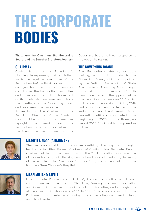## THE CORPORATE BODIES

**These are the Chairman, the Governing Board, and the Board of Statutory Auditors.**

#### CHAIRMAN.

Central figure for the Foundation's planning, transparency and reputation. He is the legal representative of the Foundation before third parties and in court, and holds the signatory powers. He coordinates the Foundation's activities and oversees the full achievement of its goals. He convenes and chairs the meetings of the Governing Board and oversees the implementation of its resolutions. The Chairman of the Board of Directors of the Bambino Gesù Children's Hospital is a member by right of the Governing Board of the Foundation and is also the Chairman of the Foundation itself, as well as of its

Governing Board, without prejudice to the option to resign.

#### THE GOVERNING BOARD.

The Foundation's driving, decisionmaking, and control body is the Governing Board, which is appointed by the Vatican Secretariat of State. The previous Governing Board began its activity on 4 November 2015. Its mandate ended with the approval of the final financial statements for 2018, which took place in the session of 9 July 2019, and was subsequently extended to the end of the year. The Governing Board currently in office was appointed at the beginning of 2020 for the three-year period 2020-2022 and is composed as follows:



#### MARIELLA ENOC (CHAIRMAN)

She has always held positions of responsibility directing and managing healthcare facilities. Former Chairman of Confindustria Piemonte; Deputy Chairman of the Cariplo Foundation and the Cini Foundation; Board member of various bodies (Social Housing Foundation, Filarete Foundation, University of Eastern Piemonte "A.Avogadro"). Since 2015, she is the Chaiman of the Bambino Gesù Children's Hospital.



#### MASSIMILIANO ATELLI

Law graduate, PhD in "Economic Law", licensed to practice as a lawyer, contract university lecturer in Civil Law, Banking Law, and Information and Communication Law at various Italian universities, and a magistrate at the Court of Auditors since 2003. In 2015-16 he was a consultant to the Parliamentary Commission of Inquiry into counterfeiting, commercial piracy and illegal trade.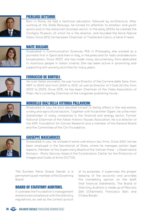

#### PIERLUIGI BETTURRI

Born in Rome, he had a technical education, followed by architecture. After working at the State Railways, he turned his attention to amateur and youth sports and to the restaurant business sector. In the early 2000s he created the Configno Museum, of which he is the director, and founded the Norie Nature Oasis. Since 2012, he has been Chairman of Trastevere Calcio, a Serie D team.



#### MAITE BULGARI

Graduated in Communication Sciences, PhD in Philosophy, she worked as a journalist first in Spain and then in Italy, in the press and for radio and television broadcasters. Since 2003, she has made many documentary films dedicated to illustrious people in Italian cinema. She has been active in promoting and supporting anti-poverty activities for many years.



#### FERRUCCIO DE BORTOLI

He is an Italian journalist. He was twice Director of the Corriere della Sera, from 1997 to 2003 and from 2009 to 2015, as well as Director of Il Sole 24 Ore from 2005 to 2009. Since 2015, he has been Chairman of the Vidas Association of Milan. He is currently Chairman of the Longanesi publishing house.



#### MOROELLO DIAZ DELLA VITTORIA PALLAVICINI

Graduated in Law, he soon devoted himself to family affairs in the real estate, winery and agricultural sectors. Together with his brother Sigieri, he is the main shareholder of many companies in the financial and energy sector. Former National Chairman of the Italian Historic Houses Association, he is a director of the AIRC Foundation for Cancer Research and a member of the General Board and the Committee of the Cini Foundation.



#### GIUSEPPE MASCARUCCI

Graduated in Law, he worked in some well-known law firms. Since 2001, he has been employed in the Secretariat of State, where he manages certain legal aspects. Member of the Supervisory Board of the Vatican Press - L'Osservatore Romano - Photo Service. Head of the Coordination Center for the Protection of Images and Coats of Arms (CCTIS).

The Duchess Maria Grazia Salviati is a permanent guest member of the Governing Board.

#### BOARD OF STATUTORY AUDITORS.

It oversees the Foundation's management and ensures compliance with the statutory regulations, as well as the correct pursuit

of its purposes. It supervises the proper keeping of the accounts and provides the mandatory opinion on the draft final financial statements. The Board of Statutory Auditors is made up of Maurizio Zelli (Chairman), Francesco Alati, and Chiara Borghi.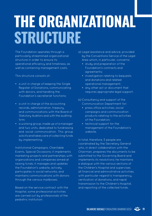# THE ORGANIZATIONAL **STRUCTURE**

The Foundation operates through a particularly streamlined organizational structure in order to ensure its operational efficiency and timeliness, as well as containing management costs.

This structure consists of:

- a unit in charge of keeping the Single Register of Donations, communicating with donors, and handling the Foundation's secretariat functions;
- a unit in charge of the accounting records, administration, treasury, and communications with the Board of Statutory Auditors and with the auditing firm;
- a working group, made up of a manager and two units, dedicated to fundraising and social communication. This group solicits and takes care of collecting funds by implementing.

Institutional Campaigns, Charitable Events, Special Occasions; it implements marketing projects and partnerships with organizations and companies aimed at raising funds; it manages and updates the Foundation's website, actively participates in social networks, and maintains communications with donors through the various mailboxes.

Based on the service contract with the Hospital, some professional activities are carried out by professionals of the pediatric institution:

- a) Legal assistance and advice, provided by the Conventions Service of the Legal Area which, in particular, concerns:
	- study and preparation of the Foundation's contracts and agreements;
	- investigation relating to bequests and donations and related operational management;
	- any other act or document that requires appropriate legal support.
- b) Consultancy and support of the Communication Department for:
	- press office activities, social campaigns and communication products relating to the activities of the Foundation;
	- technical support for the management of the Foundation's website.

In total, therefore, 5 people are coordinated by the Secretary General who, in direct collaboration with the Chairman, prepares the documents to be submitted to the Governing Board and implements its resolutions; he maintains a dialogue with the various sections of the Children's Hospital and supervises all financial and administrative activities, with particular regard to transparency, verification of donations, and rapid transmission to the Children's Hospital, and reporting of the collected funds.

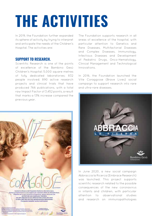# THE ACTIVITIES

In 2019, the Foundation further expanded its sphere of activity by trying to interpret and anticipate the needs of the Children's Hospital. The activities are:

#### SUPPORT TO RESEARCH.

Scientific Research is one of the points of excellence of the Bambino Gesù Children's Hospital: 5,000 square metres of fully dedicated laboratories; 832 people involved; 890 active research projects and clinical trials that have produced 766 publications, with a total raw Impact Factor of 3,452 points, a result that marks a 13% increase compared the previous year.



The Foundation supports research in all areas of excellence of the hospital, with particular attention to Genetics and Rare Diseases, Multifactorial Diseases and Complex Diseases, Immunology, Infectious Diseases and Development of Pediatric Drugs, Onco-Hematology, Clinical Management and Technological Innovations.

In 2016, the Foundation launched the Vite Coraggiose (Brave Lives) social campaign to support research into rare and ultra-rare diseases.



In June 2020, a new social campaign Abbraccia la Ricerca (Embrace Research) was launched. This project supports scientific research related to the possible consequences of the new coronavirus in infants and children, with particular attention to observational studies and research on immunopathologies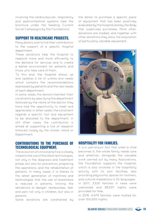involving the cardiovascular, respiratory and gastrointestinal sustems (see the brochure under the heading Current Social Campaigns by the Foundation).

#### SUPPORT TO HEALTHCARE PROJECTS.

Many donors wish to link their contribution to the support of a specific Hospital department.

These donations help the Hospital to respond more and more efficiently to the demand for services and to create a better environment for patients and those who take care of them.

To this end, the Hospital draws up and updates a list of wishes and needs which contains the recommendations expressed by patients and the real needs of each department.

In some cases, the donors manifest their constraints by specifying the department followed by the name of the doctor they have had the opportunity to meet and appreciate; in other cases, the constraint regards a specific tool and equipment to be allocated to the department; in still other cases, the contribution is aimed at supporting a line of research followed closely by the chosen Ward or Department.

#### CONTRIBUTIONS TO THE PURCHASE OF TECHNOLOGICAL EQUIPMENT.

The evolution of clinical practice is closely linked to the use of the latest technologies, not only in the diagnosis and treatment phase, but also for prevention, preparing the operations, and the rehabilitation of patients. In many cases, it is thanks to the latest generation of machines and technologies that the use of anesthesia is reduced in patients, limiting the sensations of danger, restlessness, fear and pain not only in children, but also in parents.

Some donations are constrained by

the donor to purchase a specific piece of equipment that has been positively evaluated by the Hospital and by the Body that supervises purchases. More often, donations are modest, and together with other donations they allow the acquisition of particularly valuable equipment.



#### HOSPITALITY FOR FAMILIES.

It is a well-known fact that when a child becomes ill, the whole family needs care and attention. Alongside the valuable work carried out by many Associations, the Foundation supports the Hospital, which is also involved in the hospitality activity with its own facilities, also providing playrooms, spaces for mothers, and cultural mediations in 52 languages. In 2017, 3,520 families in need were welcomed and 89,537 nights were provided for free.

In 2018, 4,479 families were hosted for over 100,000 nights.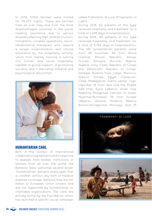In 2019, 5,569 families were hosted for 118,470 nights. These are families from all over Italy and from the most disadvantaged countries in the world, needing assistance due to serious diseases affecting their children (tumors, transplants, complex operations, neurorehabilitative therapies) who require a longer hospitalization and clinical assistance by the hospitality activity, which from merely housing is turning into human and social hospitality, capable of giving support, of promoting sociality, and if alleviating material and psychological discomfort.



HUMANITARIAN CARE.

Both in the context of international collaboration agreements and in response to appeals from bodies, institutions or families from all over the world, the Bambino Gesù welcomes several dozen "humanitarian" patients every year, that is, children without any form of medical expense coverage, because they are not Italian or European Union citizens and are not supported by humanitarian or charitable organizations. The costs are entirely borne by the Foundation, which has launched a specific social campaign called Frammenti di Luce (Fragments of Light).

During 2018, 62 patients of this type received hospitality and treatment for a total of 2,445 days of hospitalization.

During 2019, 145 patients of this type received hospitality and treatment for a total of 5,784 days of hospitalization. The 145 humanitarian patients came from 46 countries: 66 from Africa (Central African Republic, Kenya, Guinea, Ethiopia, Burundi, Algeria, Nigeria, Ivory Coast, Republic of Congo and Democratic Republic of Congo, Senegal, Burkina Faso, Libya, Morocco, Djibouti, Eritrea, Egypt, Cameroon, Chad, Madagascar, Sierra Leone, Togo, Uganda); 18 from Asia and the Middle East (Iran, Syria, Lebanon, Israel, Iraq, Palestine, Philippines, Vietnam, Sri lanka, Myanmar/Burmese); 36 from Europe (Albania, Ukraine, Moldova, Belarus Bosnia-Herzegovina, Norway), and 25





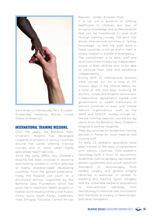

from America (Venezuela, Peru, Ecuador, Guatemala, Honduras, Bolivia, United States of America).

#### INTERNATIONAL TRAINING MISSIONS.

Over the years, the Bambino Gesù Children's Hospital has developed cooperation projects in various countries around the world, offering training courses and in some cases highly specialized health services.

Since the early 1980s, the Children's Hospital has been involved in assisting and treating children in conflict-affected or highly disadvantaged developing countries. From the gained experience, today the Hospital can count on a structured service, supported by the Bambino Gesù Foundation, which has given life to important health projects in twelve countries around the world: Russia, China, Suria, South Korea, Cambodia, India, Ethiopia, Tanzania, Central African Republic, Jordan, Ecuador, Haiti.

It is not just a question of offering healthcare to children, but also of bringing knowledge and professionalism that can be transferred to local staff through training courses. The spirit that drives international activities is "gifting knowledge", so that the work done in these countries is not an end in itself or simply support in a state of emergency.

The commitment is to allow staff and local institutions to become independent, aware of their abilities and to be able to continue their care and assistance independently.

During 2019, 22 international missions were carried out, for a total of 170 mission days of the clinical teams, for a total of 476 man-days involving 58 doctors, nurses and Hospital technicians. Collaboration agreements signed with governments or health institutions of various countries or even with United Nations organizations, such as the WHO and UNHCR, usually include onthe-job training sessions, carried out by teams from the Bambino Gesù Children's Hospital in partner hospitals.

They also provide for residential training periods in Rome for local medical and nursing staff.

To date, 20 pediatric specialties have been trained on the basis of agreements with various countries: from pediatric neurology (with a focus on neuromotor disabilities, such as epilepsy, neurological/ genetic syndromes and autism spectrum disorders) to neurosurgery, from cardiac surgery and general surgery (directed, in particular, in Jordan, to assisting and treating Syrian refugees and the vulnerable pediatric population) to interventional radiology, from neonatology to intensive care, from plastic and maxillofacial surgery to laparoscopic and renal transplants.

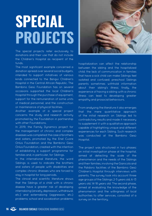## SPECIAL PROJECTS

The special projects refer exclusively to donations and their use that do not include the Children's Hospital as recipient of the funds.

The most significant example concerned a donation spread over several social budgets, intended to support initiatives of various kinds connected to the Bangui Children's Hospital in the Central African Republic. The Bambino Gesù Foundation has on several occasions supported the local Children's Hospital through the purchase of equipment, support for the remuneration of some units of medical personnel, and the construction or maintenance of physical facilities.

Another example of a special project concerns the study and research activity promoted by the Foundation in partnership with other Foundations.

In 2019, the Family Dynamics project for the management of chronic and complex diseases was completed: the case of brothers and sisters, promoted by the Enel Cuore Onlus Foundation and the Bambino Gesù Onlus Foundation, created with the intention of establishing a support programme for families and, in particular, for Siblings.

In the international literature, the word Siblings is used to indicate the brothers and sisters of people with disabilities and complex chronic illnesses who are forced to stay in hospital for long periods.

The clinical and scientific literature shows that the Siblings of a child with a chronic disease have a greater risk of developing internalizing (anxiety, depression, withdrawal, etc.) and externalizing (aggression, etc.) problems; school and socialization problems:



hospitalization can affect the relationship between the sibling and the hospitalized child; the lack of communication in families that have a sick child can make Siblings feel isolated and confused; preschool Siblings parents sometimes withhold information about their sibling's illness: finally, the experience of having a sibling with a chronic illness can lead to developing greater empathy and prosocial behaviours.

From analysing the literature it also emerges that the mere quantitative approach of the initial research on Siblings led to contradictory results and made it necessary to supplement it with a qualitative approach capable of highlighting unique and different experiences for each Sibling. Such research was conducted at the Bambino Gesù Hospital.

The project was structured in two phases: an initial investigation phase at the hospital, aimed at detecting the scale of the phenomenon and the needs of the Siblings and their families, involving the Gianicolo and the Palidoro facilities of the Bambino Gesù Children's Hospital through interviews with parents. The survey took into account three age groups of the Siblings: 2-5 years old, 6-13 years old, 14-18 years old. The second phase, aimed at evaluating the knowledge of the phenomenon and the willingness of local authorities to offer services, consisted of a survey on the territory.

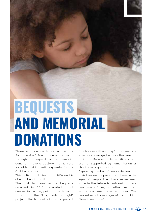### BEQUESTS AND MEMORIAL **DONATIONS**

Those who decide to remember the Bambino Gesù Foundation and Hospital through a bequest or a memorial donation make a gesture that is very valuable and immediately useful for the Children's Hospital.

This activity only began in 2018 and is already bearing fruit.

The first two real estate bequests received in 2018 generated about one million euros, paid to the hospital to support the "Fragments of Light" project, the humanitarian care project

for children without any form of medical expense coverage, because they are not Italian or European Union citizens and are not supported by humanitarian or charitable organizations.

A growing number of people decide that their lives and hopes can continue in the eyes of people they have never met. Hope in the future is restored to these anonymous faces, as better illustrated in the brochure presented under "The current social campaigns of the Bambino Gesù Foundation".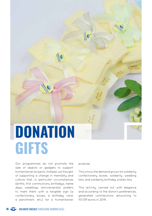### **DONATION GIFTS**

Our programmes do not promote the sale of objects or gadgets to support humanitarian projects. Instead, we thought of supporting a change in mentality and culture that, in particular circumstances (births, first communions, birthdays, name daus, weddings, anniversaries), prefers to mark them with a tangible sign (a confectionery boxes, a birthday card, a parchment, etc.) for a humanitarian

purpose.

This is how the demand grows for solidarity confectionery boxes, solidarity wedding lists, and solidarity birthday wishes lists.

This activity, carried out with elegance and according to the donor's preferences, generated contributions amounting to 101,139 euros in 2019.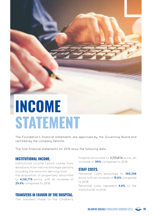### INCOME STATEMENT

The Foundation's financial statements are approved by the Governing Board and certified by the company Deloitte.

The final financial statements for 2019 show the following data.

#### INSTITUTIONAL INCOME.

Institutional income (which comes from donations from natural and legal persons including the amounts deriving from the acquisition of properties) amounted to **4,128,776** euros, with an increase of **29.9%** compared to 2018.

#### TRANSFERS IN FAVOUR OF THE HOSPITAL.

The transfers made to the Children's

Hospital amounted to **3,713,874** euros, an increase of **119%** compared to 2018.

#### STAFF COSTS.

Personnel costs amounted to **365,398**  euros with an increase of **15.6%** compared to 2018.

Personnel costs represent **8.8%** of the institutional income.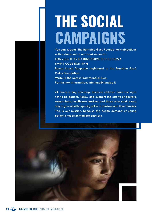# THE SOCIAL CAMPAIGNS

**You can support the Bambino Gesù Foundation's objectives with a donation to our bank account: IBAN code IT 05 B 03069 05020 100000016223 SWIFT CODE BCITITMM Banca Intesa Sanpaolo registered to the Bambino Gesù Onlus Foundation. Write in the notes: Frammenti di luce. For further information: info.fond@fondbg.it**

**24 hours a day non-stop, because children have the right not to be patient. Follow and support the efforts of doctors, researchers, healthcare workers and those who work every day to give a better quality of life to children and their families. This is our mission, because the health demand of young patients needs immediate answers.**



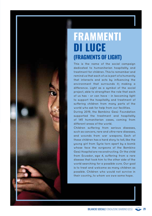### FRAMMENTI DI LUCE (FRAGMENTS OF LIGHT)

**This is the name of the social campaign dedicated to humanitarian hospitality and treatment for children. This to remember and remind us that each of us is part of a humanity that interacts and acts by influencing the environment that surrounds it; making a difference. Light as a symbol of the social project, able to strengthen the role that each of us has - or can have - in becoming light to support the hospitality and treatment of suffering children from many parts of the world who ask for help from our facilities.**

**During 2019, the Bambino Gesù Foundation supported the treatment and hospitality of 145 humanitarian cases, coming from different areas of the world.**

**Children suffering from serious diseases, such as cancers, rare and ultra-rare diseases, and wounds from war weapons. Each of these children has a hard story to tell, like the young girl from Syria torn apart by a bomb whose face the surgeons of the Bambino Gesù Hospital are reconstructing. Or the child from Ecuador, age 4, suffering from a rare disease that took him to the other side of the world searching for a possible cure. Our goal is to treat and welcome as many children as possible. Children who would not survive in their country, to whom we owe some hope.**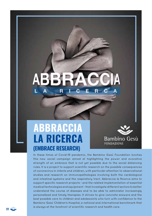# ABBRACCIA

LA RICERCA (EMBRACE RESEARCH)

**In these times of Covid-19 pandemic, the Bambino Gesù Foundation lunches this new social campaign aimed at highlighting the power and evocative strength of an embrace that is not yet possible due to the social distancing rules. It is a project to support scientific research on the possible consequences of coronavirus in infants and children, with particular attention to observational studies and research on immunopathologies involving both the cardiological and intestinal systems and the respiratory tract. Abbraccia la Ricerca aims to support specific research projects - and the related implementation of essential medical technologies and equipment - that investigate different sectors to better understand the course of diseases and to be able to administer increasingly personalized and timely therapies. It strives to give concrete answers and the best possible care to children and adolescents who turn with confidence to the Bambino Gesù Children's Hospital, a national and international benchmark that is always at the forefront of scientific research and health care.** 

**Bambino Gesù** 

**FONDAZIONE**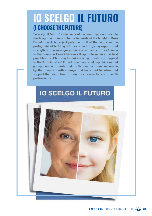### IO SCELGO IL FUTURO (I CHOOSE THE FUTURE)

**"Io scelgo il Futuro" is the name of the campaign dedicated to the living donations and to the bequests of the Bambino Gesù Foundation. This project puts the adult at the centre, as the protagonist of building a future aimed at giving support and strength to the new generations who turn with confidence to the Bambino Gesù Children's Hospital to receive the best possible care. Choosing to make a living donation or bequest to the Bambino Gesù Foundation means helping children and young people to walk their path - made more vulnerable by the disease - with courage and hope and to follow and support the commitment of doctors, researchers and health professionals.**

### **IO SCELGO IL FUTURO**

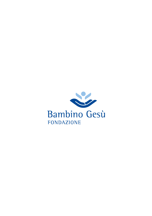